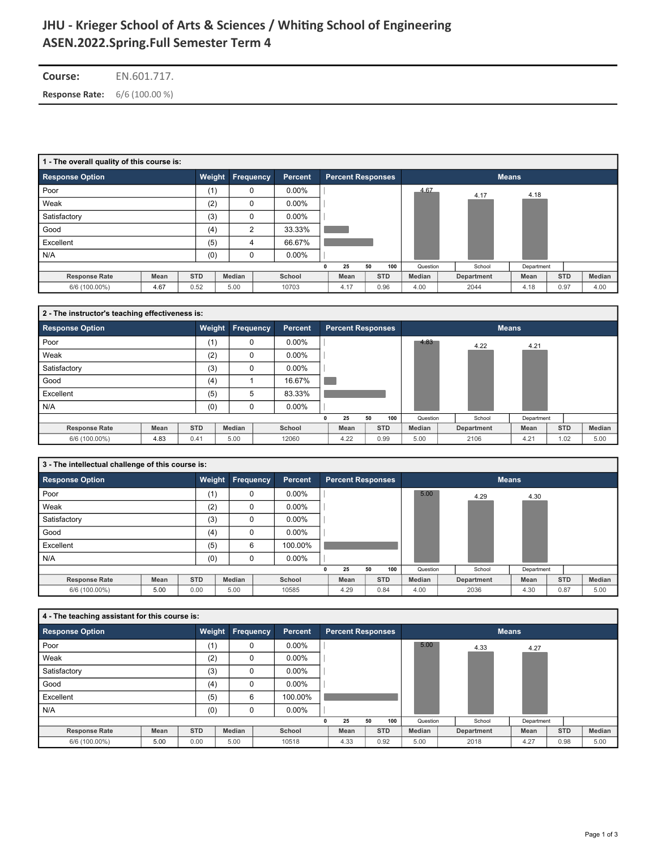# **ASEN.2022.Spring.Full Semester Term 4 JHU - Krieger School of Arts & Sciences / WhiƟng School of Engineering**

| <b>Course:</b>                       | EN.601.717. |
|--------------------------------------|-------------|
| <b>Response Rate:</b> 6/6 (100.00 %) |             |

|                        | 1 - The overall quality of this course is: |            |                  |  |          |   |                          |    |            |          |  |            |              |      |            |        |
|------------------------|--------------------------------------------|------------|------------------|--|----------|---|--------------------------|----|------------|----------|--|------------|--------------|------|------------|--------|
| <b>Response Option</b> |                                            | Weight     | <b>Frequency</b> |  | Percent  |   | <b>Percent Responses</b> |    |            |          |  |            | <b>Means</b> |      |            |        |
| Poor                   |                                            | (1)        | 0                |  | $0.00\%$ |   |                          |    |            | 4.67     |  | 4.17       | 4.18         |      |            |        |
| Weak                   |                                            | (2)        | 0                |  | $0.00\%$ |   |                          |    |            |          |  |            |              |      |            |        |
| Satisfactory           |                                            | (3)        | 0                |  | $0.00\%$ |   |                          |    |            |          |  |            |              |      |            |        |
| Good                   |                                            | (4)        | 2                |  | 33.33%   |   |                          |    |            |          |  |            |              |      |            |        |
| Excellent              |                                            | (5)        | 4                |  | 66.67%   |   |                          |    |            |          |  |            |              |      |            |        |
| N/A                    |                                            | (0)        | 0                |  | $0.00\%$ |   |                          |    |            |          |  |            |              |      |            |        |
|                        |                                            |            |                  |  |          | 0 | 25                       | 50 | 100        | Question |  | School     | Department   |      |            |        |
| <b>Response Rate</b>   | Mean                                       | <b>STD</b> | Median           |  | School   |   | Mean                     |    | <b>STD</b> | Median   |  | Department | Mean         |      | <b>STD</b> | Median |
| 6/6 (100.00%)          | 4.67                                       | 0.52       | 5.00             |  | 10703    |   | 4.17                     |    | 0.96       | 4.00     |  | 2044       | 4.18         | 0.97 |            | 4.00   |

|                        | 2 - The instructor's teaching effectiveness is: |            |          |                                                         |          |  |      |    |            |          |  |            |              |  |            |        |  |  |  |
|------------------------|-------------------------------------------------|------------|----------|---------------------------------------------------------|----------|--|------|----|------------|----------|--|------------|--------------|--|------------|--------|--|--|--|
| <b>Response Option</b> |                                                 | Weight     |          | <b>Frequency</b><br><b>Percent Responses</b><br>Percent |          |  |      |    |            |          |  |            | <b>Means</b> |  |            |        |  |  |  |
| Poor                   |                                                 | (1)        | 0        |                                                         | $0.00\%$ |  |      |    |            | 4.83     |  | 4.22       | 4.21         |  |            |        |  |  |  |
| Weak                   |                                                 | (2)        | $\Omega$ |                                                         | $0.00\%$ |  |      |    |            |          |  |            |              |  |            |        |  |  |  |
| Satisfactory           |                                                 | (3)        | 0        |                                                         | $0.00\%$ |  |      |    |            |          |  |            |              |  |            |        |  |  |  |
| Good                   |                                                 | (4)        |          |                                                         | 16.67%   |  |      |    |            |          |  |            |              |  |            |        |  |  |  |
| Excellent              |                                                 | (5)        | 5        |                                                         | 83.33%   |  |      |    |            |          |  |            |              |  |            |        |  |  |  |
| N/A                    |                                                 | (0)        | 0        |                                                         | $0.00\%$ |  |      |    |            |          |  |            |              |  |            |        |  |  |  |
|                        |                                                 |            |          |                                                         |          |  | 25   | 50 | 100        | Question |  | School     | Department   |  |            |        |  |  |  |
| <b>Response Rate</b>   | Mean                                            | <b>STD</b> | Median   |                                                         | School   |  | Mean |    | <b>STD</b> | Median   |  | Department | Mean         |  | <b>STD</b> | Median |  |  |  |
| 6/6 (100.00%)          | 4.83                                            | 0.41       | 5.00     |                                                         | 12060    |  | 4.22 |    | 0.99       | 5.00     |  | 2106       | 4.21         |  | 1.02       | 5.00   |  |  |  |

|                        | 3 - The intellectual challenge of this course is: |            |           |  |                |   |                                          |    |            |          |  |            |            |  |            |        |
|------------------------|---------------------------------------------------|------------|-----------|--|----------------|---|------------------------------------------|----|------------|----------|--|------------|------------|--|------------|--------|
| <b>Response Option</b> |                                                   | Weight     | Frequency |  | <b>Percent</b> |   | <b>Percent Responses</b><br><b>Means</b> |    |            |          |  |            |            |  |            |        |
| Poor                   |                                                   | (1)        | $\Omega$  |  | $0.00\%$       |   |                                          |    |            | 5.00     |  | 4.29       | 4.30       |  |            |        |
| Weak                   |                                                   | (2)        | $\Omega$  |  | $0.00\%$       |   |                                          |    |            |          |  |            |            |  |            |        |
| Satisfactory           |                                                   | (3)        |           |  | $0.00\%$       |   |                                          |    |            |          |  |            |            |  |            |        |
| Good                   |                                                   | (4)        | $\Omega$  |  | $0.00\%$       |   |                                          |    |            |          |  |            |            |  |            |        |
| Excellent              |                                                   | (5)        | 6         |  | 100.00%        |   |                                          |    |            |          |  |            |            |  |            |        |
| N/A                    |                                                   | (0)        | 0         |  | $0.00\%$       |   |                                          |    |            |          |  |            |            |  |            |        |
|                        |                                                   |            |           |  |                | n | 25                                       | 50 | 100        | Question |  | School     | Department |  |            |        |
| <b>Response Rate</b>   | <b>Mean</b>                                       | <b>STD</b> | Median    |  | School         |   | Mean                                     |    | <b>STD</b> | Median   |  | Department | Mean       |  | <b>STD</b> | Median |
| 6/6 (100.00%)          | 5.00                                              | 0.00       | 5.00      |  | 10585          |   | 4.29                                     |    | 0.84       | 4.00     |  | 2036       | 4.30       |  | 0.87       | 5.00   |

| 4 - The teaching assistant for this course is: |      |            |           |                |                          |    |            |          |            |              |            |        |
|------------------------------------------------|------|------------|-----------|----------------|--------------------------|----|------------|----------|------------|--------------|------------|--------|
| <b>Response Option</b>                         |      | Weight     | Frequency | <b>Percent</b> | <b>Percent Responses</b> |    |            |          |            | <b>Means</b> |            |        |
| Poor                                           |      | (1)        | $\Omega$  | $0.00\%$       |                          |    |            | 5.00     | 4.33       | 4.27         |            |        |
| Weak                                           |      | (2)        | $\Omega$  | $0.00\%$       |                          |    |            |          |            |              |            |        |
| Satisfactory                                   |      | (3)        | $\Omega$  | $0.00\%$       |                          |    |            |          |            |              |            |        |
| Good                                           |      | (4)        | 0         | $0.00\%$       |                          |    |            |          |            |              |            |        |
| Excellent                                      |      | (5)        | 6         | 100.00%        |                          |    |            |          |            |              |            |        |
| N/A                                            |      | (0)        | $\Omega$  | $0.00\%$       |                          |    |            |          |            |              |            |        |
|                                                |      |            |           |                | 25                       | 50 | 100        | Question | School     | Department   |            |        |
| <b>Response Rate</b>                           | Mean | <b>STD</b> | Median    | School         | Mean                     |    | <b>STD</b> | Median   | Department | Mean         | <b>STD</b> | Median |
| 6/6 (100.00%)                                  | 5.00 | 0.00       | 5.00      | 10518          | 4.33                     |    | 0.92       | 5.00     | 2018       | 4.27         | 0.98       | 5.00   |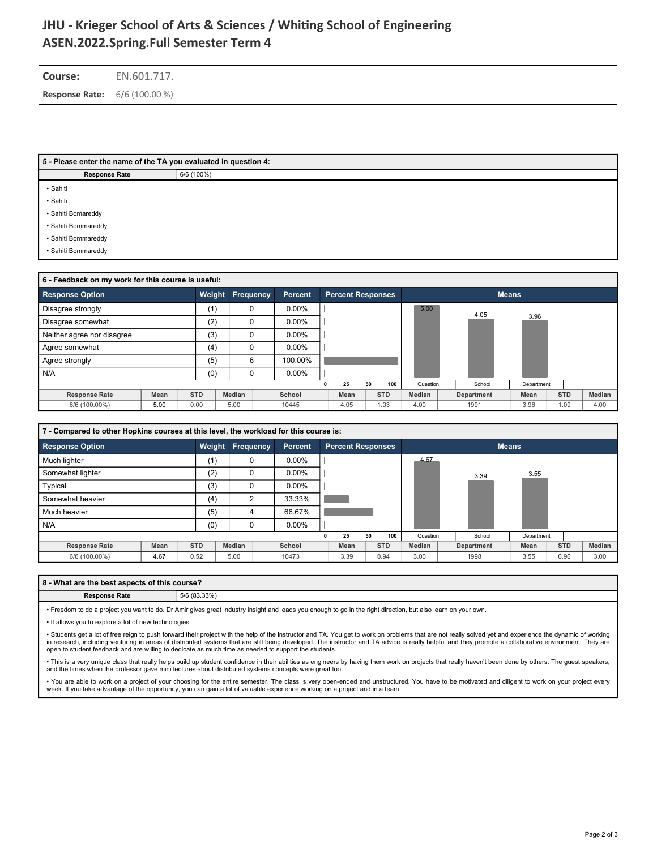# **ASEN.2022.Spring.Full Semester Term 4 JHU - Krieger School of Arts & Sciences / WhiƟng School of Engineering**

**Course:** EN.601.717. **Response Rate:** 6/6 (100.00 %)

#### **5 - Please enter the name of the TA you evaluated in question 4:**

**Response Rate** 6/6 (100%)

• Sahiti

• Sahiti

• Sahiti Bomareddy

• Sahiti Bommareddy

• Sahiti Bommareddy

• Sahiti Bommareddy

| 6 - Feedback on my work for this course is useful: |      |            |        |                                                  |          |  |      |    |            |               |  |            |              |            |        |  |  |  |  |
|----------------------------------------------------|------|------------|--------|--------------------------------------------------|----------|--|------|----|------------|---------------|--|------------|--------------|------------|--------|--|--|--|--|
| <b>Response Option</b>                             |      | Weight     |        | Frequency<br>Percent<br><b>Percent Responses</b> |          |  |      |    |            |               |  |            | <b>Means</b> |            |        |  |  |  |  |
| Disagree strongly                                  |      | (1)        |        | $\Omega$                                         | $0.00\%$ |  |      |    |            | 5.00          |  | 4.05       |              |            |        |  |  |  |  |
| Disagree somewhat                                  |      | (2)        |        | $\Omega$                                         | $0.00\%$ |  |      |    |            |               |  |            | 3.96         |            |        |  |  |  |  |
| Neither agree nor disagree                         |      | (3)        |        | $\Omega$                                         | $0.00\%$ |  |      |    |            |               |  |            |              |            |        |  |  |  |  |
| Agree somewhat                                     |      | (4)        |        | $\Omega$                                         | $0.00\%$ |  |      |    |            |               |  |            |              |            |        |  |  |  |  |
| Agree strongly                                     |      | (5)        |        | 6                                                | 100.00%  |  |      |    |            |               |  |            |              |            |        |  |  |  |  |
| N/A                                                |      | (0)        |        | $\Omega$                                         | $0.00\%$ |  |      |    |            |               |  |            |              |            |        |  |  |  |  |
|                                                    |      |            |        |                                                  |          |  | 25   | 50 | 100        | Question      |  | School     | Department   |            |        |  |  |  |  |
| <b>Response Rate</b>                               | Mean | <b>STD</b> | Median |                                                  | School   |  | Mean |    | <b>STD</b> | <b>Median</b> |  | Department | Mean         | <b>STD</b> | Median |  |  |  |  |
| 6/6 (100.00%)                                      | 5.00 | 0.00       | 5.00   |                                                  | 10445    |  | 4.05 |    | 1.03       | 4.00          |  | 1991       | 3.96         | 1.09       | 4.00   |  |  |  |  |

|                        | 7 - Compared to other Hopkins courses at this level, the workload for this course is: |                  |        |                |          |                                          |      |    |            |               |  |            |            |            |  |        |
|------------------------|---------------------------------------------------------------------------------------|------------------|--------|----------------|----------|------------------------------------------|------|----|------------|---------------|--|------------|------------|------------|--|--------|
| <b>Response Option</b> | Weight                                                                                | <b>Frequency</b> |        | <b>Percent</b> |          | <b>Percent Responses</b><br><b>Means</b> |      |    |            |               |  |            |            |            |  |        |
| Much lighter           |                                                                                       | (1)              |        | $\mathbf 0$    | $0.00\%$ |                                          |      |    |            | 4.67          |  |            |            |            |  |        |
| Somewhat lighter       |                                                                                       | (2)              |        | $\mathbf 0$    | $0.00\%$ |                                          |      |    |            |               |  | 3.39       | 3.55       |            |  |        |
| Typical                |                                                                                       | (3)              | 0      |                | $0.00\%$ |                                          |      |    |            |               |  |            |            |            |  |        |
| Somewhat heavier       |                                                                                       | (4)              |        | $\overline{2}$ | 33.33%   |                                          |      |    |            |               |  |            |            |            |  |        |
| Much heavier           |                                                                                       | (5)              | 4      |                | 66.67%   |                                          |      |    |            |               |  |            |            |            |  |        |
| N/A                    |                                                                                       | (0)              | 0      |                | $0.00\%$ |                                          |      |    |            |               |  |            |            |            |  |        |
|                        |                                                                                       |                  |        |                |          |                                          | 25   | 50 | 100        | Question      |  | School     | Department |            |  |        |
| <b>Response Rate</b>   | Mean                                                                                  | <b>STD</b>       | Median |                | School   |                                          | Mean |    | <b>STD</b> | <b>Median</b> |  | Department | Mean       | <b>STD</b> |  | Median |
| 6/6 (100.00%)          | 4.67                                                                                  | 0.52             | 5.00   |                | 10473    |                                          | 3.39 |    | 0.94       | 3.00          |  | 1998       | 3.55       | 0.96       |  | 3.00   |

### **8 - What are the best aspects of this course?**

### **Response Rate** 5/6 (83.33%)

• Freedom to do a project you want to do. Dr Amir gives great industry insight and leads you enough to go in the right direction, but also learn on your own.

• It allows you to explore a lot of new technologies.

• Students get a lot of free reign to push forward their project with the help of the instructor and TA. You get to work on problems that are not really solved yet and experience the dynamic of working in research, including venturing in areas of distributed systems that are still being developed. The instructor and TA advice is really helpful and they promote a collaborative environment. They are open to student feedback and are willing to dedicate as much time as needed to support the students.

• This is a very unique class that really helps build up student confidence in their abilities as engineers by having them work on projects that really haven't been done by others. The guest speakers, and the times when the professor gave mini lectures about distributed systems concepts were great too

• You are able to work on a project of your choosing for the entire semester. The class is very open-ended and unstructured. You have to be motivated and diligent to work on your project every week. If you take advantage of the opportunity, you can gain a lot of valuable experience working on a project and in a team.